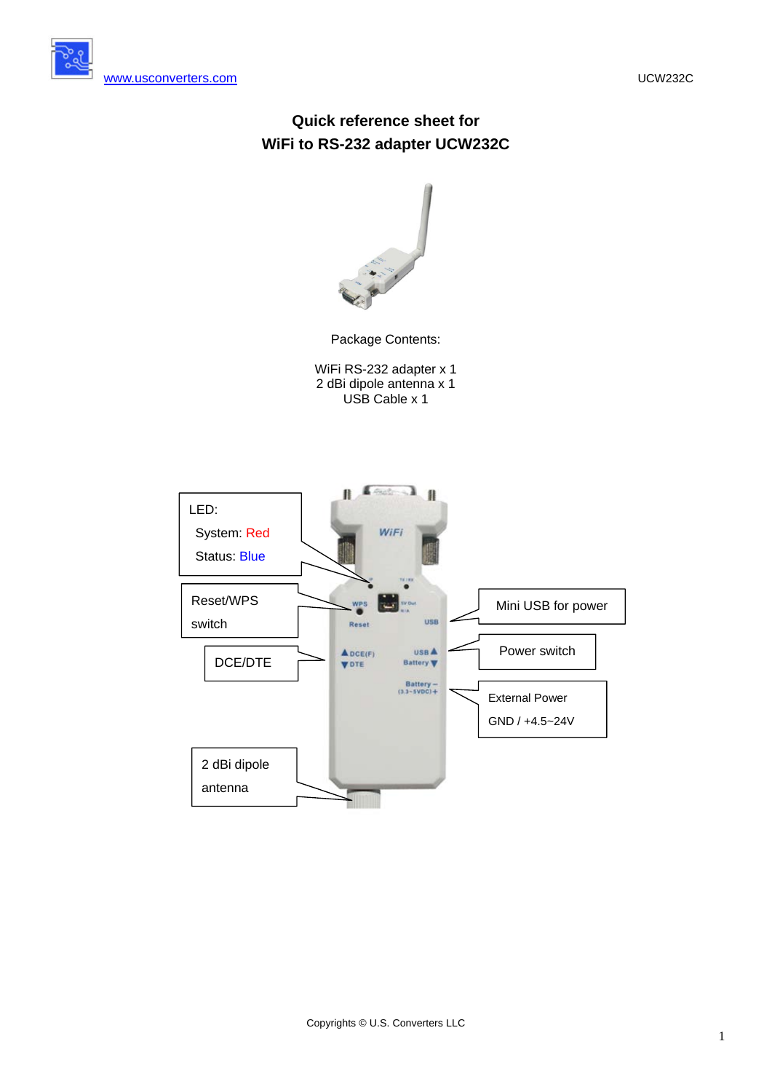[www.usconverters.com](http://www.usconverters.com/) UCW232C





Package Contents:

WiFi RS-232 adapter x 1 2 dBi dipole antenna x 1 USB Cable x 1

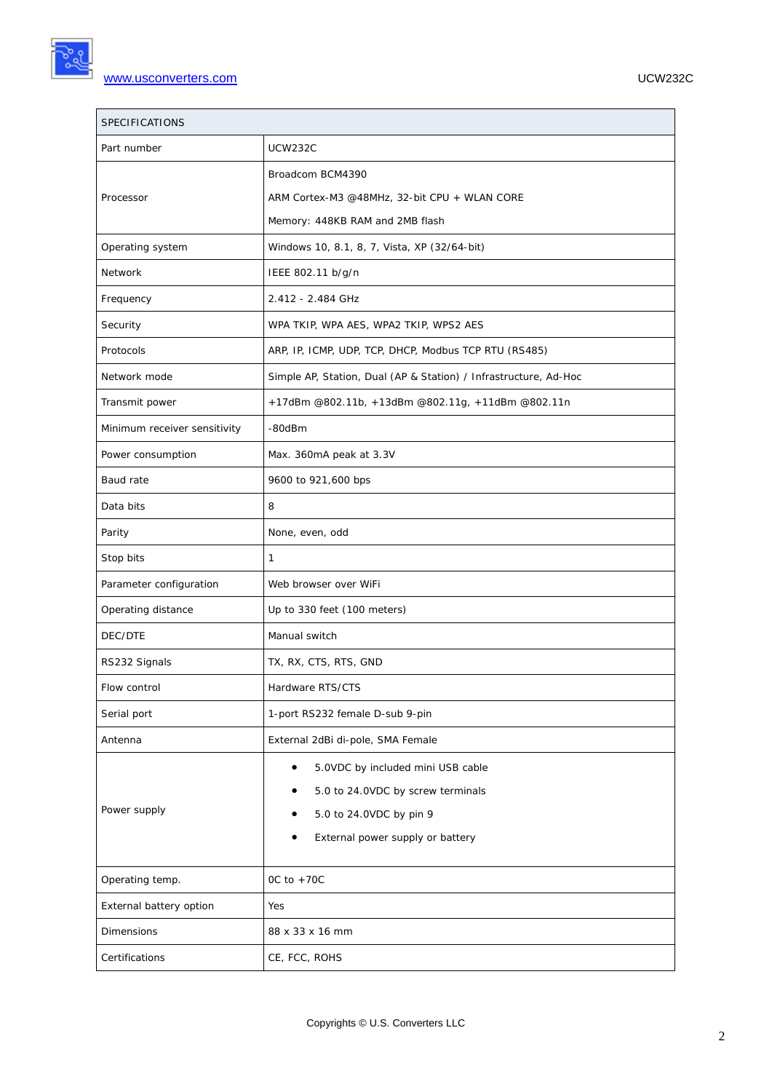| SPECIFICATIONS               |                                                                  |  |  |  |  |  |
|------------------------------|------------------------------------------------------------------|--|--|--|--|--|
| Part number                  | <b>UCW232C</b>                                                   |  |  |  |  |  |
|                              | Broadcom BCM4390                                                 |  |  |  |  |  |
| Processor                    | ARM Cortex-M3 @48MHz, 32-bit CPU + WLAN CORE                     |  |  |  |  |  |
|                              | Memory: 448KB RAM and 2MB flash                                  |  |  |  |  |  |
| Operating system             | Windows 10, 8.1, 8, 7, Vista, XP (32/64-bit)                     |  |  |  |  |  |
| Network                      | IEEE 802.11 b/g/n                                                |  |  |  |  |  |
| Frequency                    | 2.412 - 2.484 GHz                                                |  |  |  |  |  |
| Security                     | WPA TKIP, WPA AES, WPA2 TKIP, WPS2 AES                           |  |  |  |  |  |
| Protocols                    | ARP, IP, ICMP, UDP, TCP, DHCP, Modbus TCP RTU (RS485)            |  |  |  |  |  |
| Network mode                 | Simple AP, Station, Dual (AP & Station) / Infrastructure, Ad-Hoc |  |  |  |  |  |
| Transmit power               | +17dBm @802.11b, +13dBm @802.11g, +11dBm @802.11n                |  |  |  |  |  |
| Minimum receiver sensitivity | -80dBm                                                           |  |  |  |  |  |
| Power consumption            | Max. 360mA peak at 3.3V                                          |  |  |  |  |  |
| Baud rate                    | 9600 to 921,600 bps                                              |  |  |  |  |  |
| Data bits                    | 8                                                                |  |  |  |  |  |
| Parity                       | None, even, odd                                                  |  |  |  |  |  |
| Stop bits                    | $\mathbf{1}$                                                     |  |  |  |  |  |
| Parameter configuration      | Web browser over WiFi                                            |  |  |  |  |  |
| Operating distance           | Up to 330 feet (100 meters)                                      |  |  |  |  |  |
| DEC/DTE                      | Manual switch                                                    |  |  |  |  |  |
| RS232 Signals                | TX, RX, CTS, RTS, GND                                            |  |  |  |  |  |
| Flow control                 | Hardware RTS/CTS                                                 |  |  |  |  |  |
| Serial port                  | 1-port RS232 female D-sub 9-pin                                  |  |  |  |  |  |
| Antenna                      | External 2dBi di-pole, SMA Female                                |  |  |  |  |  |
|                              | 5.0VDC by included mini USB cable                                |  |  |  |  |  |
|                              | 5.0 to 24.0VDC by screw terminals                                |  |  |  |  |  |
| Power supply                 | 5.0 to 24.0VDC by pin 9                                          |  |  |  |  |  |
|                              | External power supply or battery                                 |  |  |  |  |  |
| Operating temp.              | OC to $+70C$                                                     |  |  |  |  |  |
| External battery option      | Yes                                                              |  |  |  |  |  |
| Dimensions                   | 88 x 33 x 16 mm                                                  |  |  |  |  |  |
| Certifications               | CE, FCC, ROHS                                                    |  |  |  |  |  |
|                              |                                                                  |  |  |  |  |  |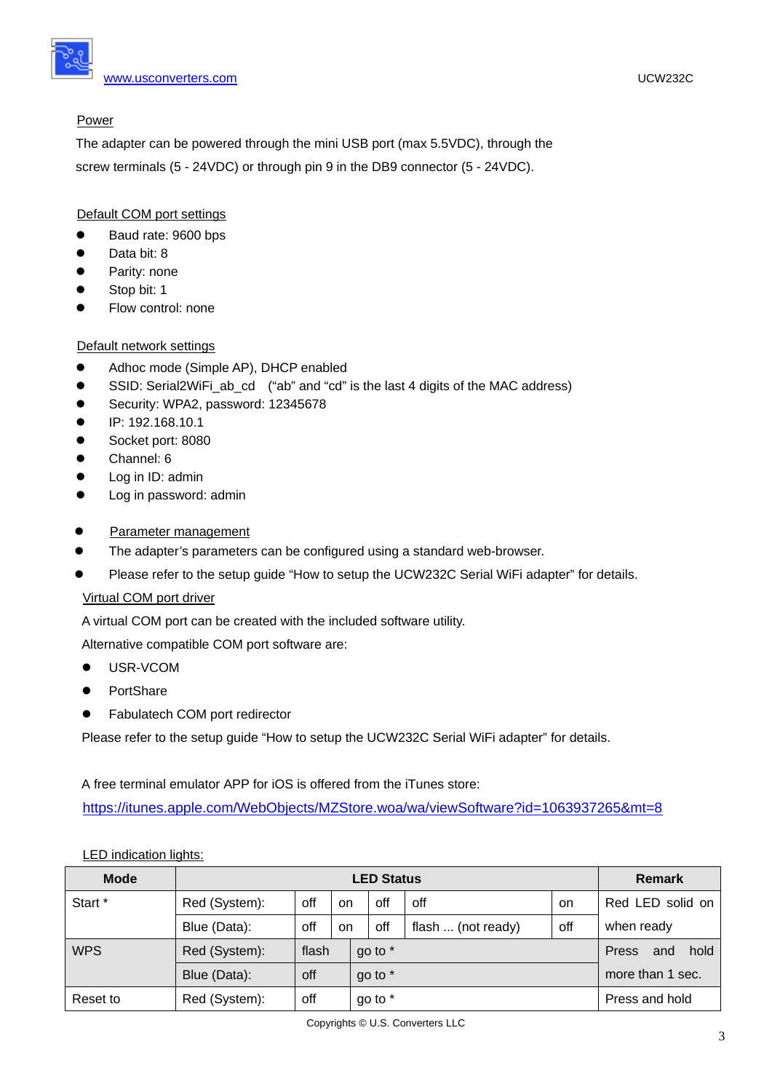## Power

The adapter can be powered through the mini USB port (max 5.5VDC), through the screw terminals (5 - 24VDC) or through pin 9 in the DB9 connector (5 - 24VDC).

# Default COM port settings

- Baud rate: 9600 bps
- Data bit: 8
- Parity: none
- Stop bit: 1
- Flow control: none

# Default network settings

- Adhoc mode (Simple AP), DHCP enabled
- SSID: Serial2WiFi\_ab\_cd ("ab" and "cd" is the last 4 digits of the MAC address)
- Security: WPA2, password: 12345678
- $\bullet$  IP: 192.168.10.1
- Socket port: 8080
- Channel: 6
- Log in ID: admin
- Log in password: admin
- Parameter management
- The adapter's parameters can be configured using a standard web-browser.
- Please refer to the setup guide "How to setup the UCW232C Serial WiFi adapter" for details.

## <sup>U</sup>Virtual COM port driver

A virtual COM port can be created with the included software utility.

Alternative compatible COM port software are:

- USR-VCOM
- **•** PortShare
- Fabulatech COM port redirector

Please refer to the setup guide "How to setup the UCW232C Serial WiFi adapter" for details.

A free terminal emulator APP for iOS is offered from the iTunes store:

<https://itunes.apple.com/WebObjects/MZStore.woa/wa/viewSoftware?id=1063937265&mt=8>

| <b>Mode</b> | <b>LED Status</b> |           |    |         |     |                    |                      | <b>Remark</b>    |
|-------------|-------------------|-----------|----|---------|-----|--------------------|----------------------|------------------|
| Start *     | Red (System):     | off       | on |         | off | off                | on                   | Red LED solid on |
|             | Blue (Data):      | off<br>on |    |         | off | flash  (not ready) | off                  | when ready       |
| <b>WPS</b>  | Red (System):     | flash     |    | go to * |     |                    | hold<br>Press<br>and |                  |
|             | Blue (Data):      | off       |    | go to * |     |                    | more than 1 sec.     |                  |
| Reset to    | Red (System):     | off       |    | go to * |     |                    |                      | Press and hold   |

## LED indication lights: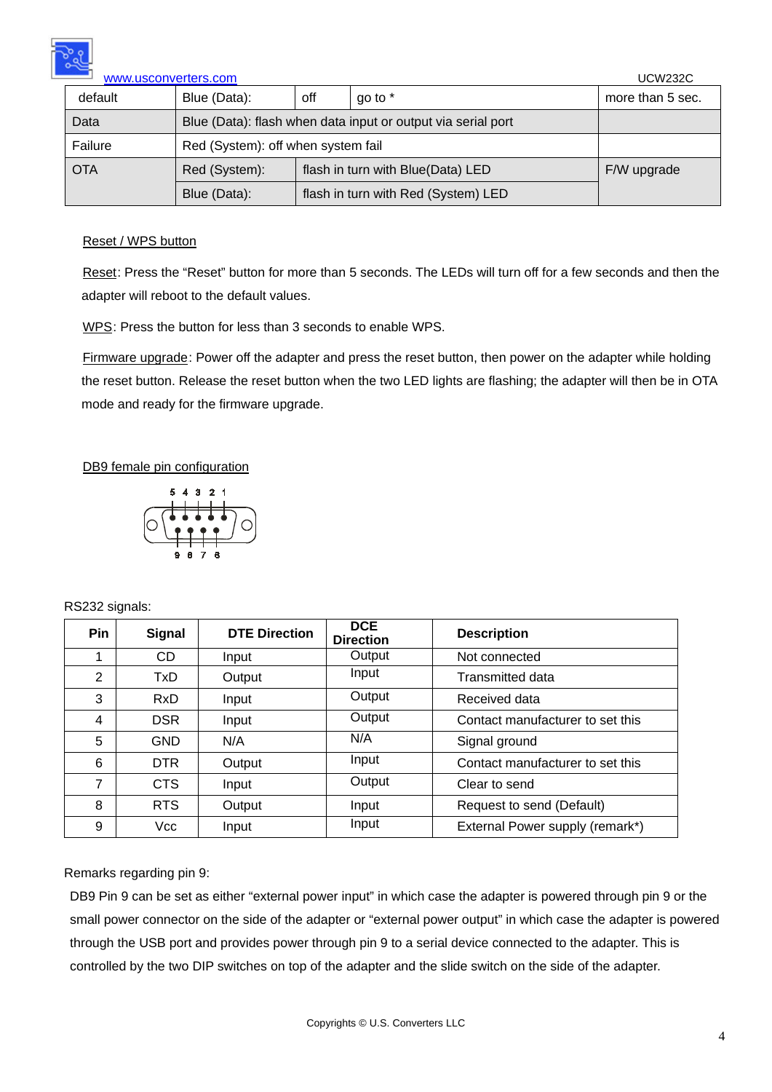

| www.usconverters.com | <b>UCW232C</b>                                               |                                   |                                     |                  |  |  |
|----------------------|--------------------------------------------------------------|-----------------------------------|-------------------------------------|------------------|--|--|
| default              | Blue (Data):                                                 | go to *<br>off                    |                                     | more than 5 sec. |  |  |
| Data                 | Blue (Data): flash when data input or output via serial port |                                   |                                     |                  |  |  |
| Failure              | Red (System): off when system fail                           |                                   |                                     |                  |  |  |
| <b>OTA</b>           | Red (System):                                                | flash in turn with Blue(Data) LED |                                     |                  |  |  |
|                      | Blue (Data):                                                 |                                   | flash in turn with Red (System) LED |                  |  |  |

#### Reset / WPS button

Reset: Press the "Reset" button for more than 5 seconds. The LEDs will turn off for a few seconds and then the adapter will reboot to the default values.

WPS: Press the button for less than 3 seconds to enable WPS.

Firmware upgrade: Power off the adapter and press the reset button, then power on the adapter while holding the reset button. Release the reset button when the two LED lights are flashing; the adapter will then be in OTA mode and ready for the firmware upgrade.

#### DB9 female pin configuration



#### RS232 signals:

| <b>Pin</b>     | <b>Signal</b> | <b>DTE Direction</b> | <b>DCE</b><br><b>Direction</b> | <b>Description</b>               |
|----------------|---------------|----------------------|--------------------------------|----------------------------------|
| 1              | CD            | Input                | Output                         | Not connected                    |
| $\overline{2}$ | TxD.          | Output               | Input                          | Transmitted data                 |
| 3              | <b>RxD</b>    | Input                | Output                         | Received data                    |
| 4              | <b>DSR</b>    | Input                | Output                         | Contact manufacturer to set this |
| 5              | <b>GND</b>    | N/A                  | N/A                            | Signal ground                    |
| 6              | DTR.          | Output               | Input                          | Contact manufacturer to set this |
| $\overline{7}$ | CTS           | Input                | Output                         | Clear to send                    |
| 8              | <b>RTS</b>    | Output               | Input                          | Request to send (Default)        |
| 9              | Vcc           | Input                | Input                          | External Power supply (remark*)  |

#### Remarks regarding pin 9:

DB9 Pin 9 can be set as either "external power input" in which case the adapter is powered through pin 9 or the small power connector on the side of the adapter or "external power output" in which case the adapter is powered through the USB port and provides power through pin 9 to a serial device connected to the adapter. This is controlled by the two DIP switches on top of the adapter and the slide switch on the side of the adapter.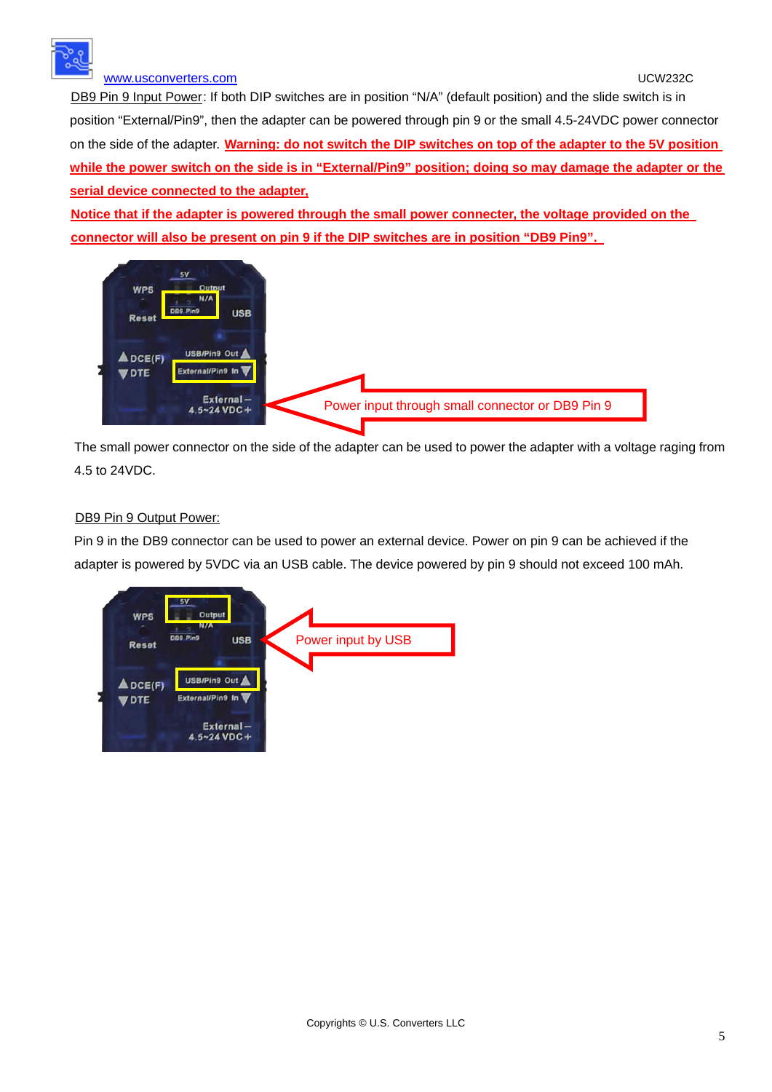

## [www.usconverters.com](http://www.usconverters.com/) UCW232C

DB9 Pin 9 Input Power: If both DIP switches are in position "N/A" (default position) and the slide switch is in position "External/Pin9", then the adapter can be powered through pin 9 or the small 4.5-24VDC power connector on the side of the adapter. U**Warning: do not switch the DIP switches on top of the adapter to the 5V position while the power switch on the side is in "External/Pin9" position; doing so may damage the adapter or the serial device connected to the adapter,**

<sup>U</sup>**Notice that if the adapter is powered through the small power connecter, the voltage provided on the**  connector will also be present on pin 9 if the DIP switches are in position "DB9 Pin9".



The small power connector on the side of the adapter can be used to power the adapter with a voltage raging from 4.5 to 24VDC.

### DB9 Pin 9 Output Power:

Pin 9 in the DB9 connector can be used to power an external device. Power on pin 9 can be achieved if the adapter is powered by 5VDC via an USB cable. The device powered by pin 9 should not exceed 100 mAh.